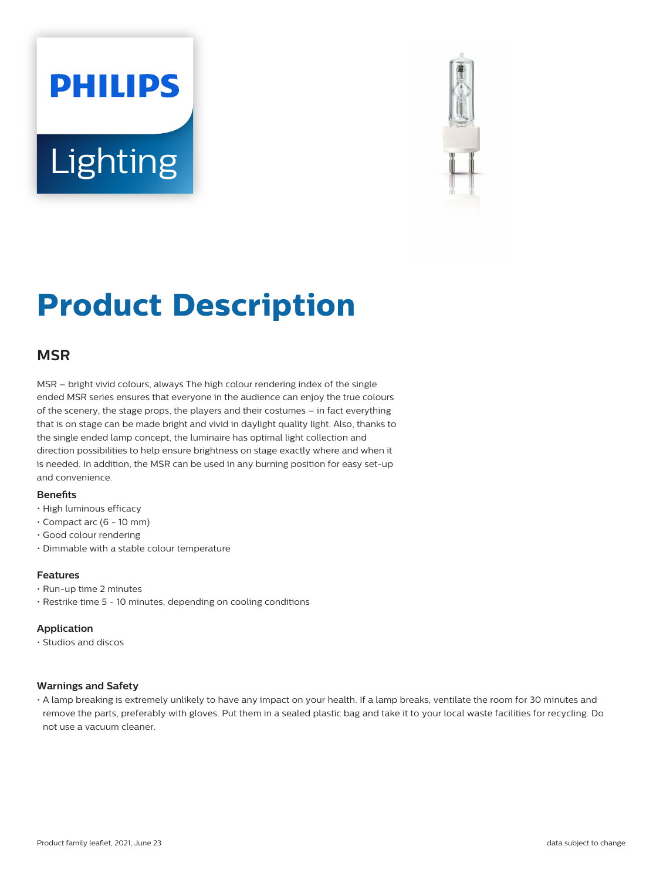# **PHILIPS Lighting**



# **Product Description**

# **MSR**

MSR – bright vivid colours, always The high colour rendering index of the single ended MSR series ensures that everyone in the audience can enjoy the true colours of the scenery, the stage props, the players and their costumes – in fact everything that is on stage can be made bright and vivid in daylight quality light. Also, thanks to the single ended lamp concept, the luminaire has optimal light collection and direction possibilities to help ensure brightness on stage exactly where and when it is needed. In addition, the MSR can be used in any burning position for easy set-up and convenience.

#### **Benets**

- High luminous efficacy
- Compact arc (6 10 mm)
- Good colour rendering
- Dimmable with a stable colour temperature

#### **Features**

- Run-up time 2 minutes
- Restrike time 5 10 minutes, depending on cooling conditions

#### **Application**

• Studios and discos

#### **Warnings and Safety**

• A lamp breaking is extremely unlikely to have any impact on your health. If a lamp breaks, ventilate the room for 30 minutes and remove the parts, preferably with gloves. Put them in a sealed plastic bag and take it to your local waste facilities for recycling. Do not use a vacuum cleaner.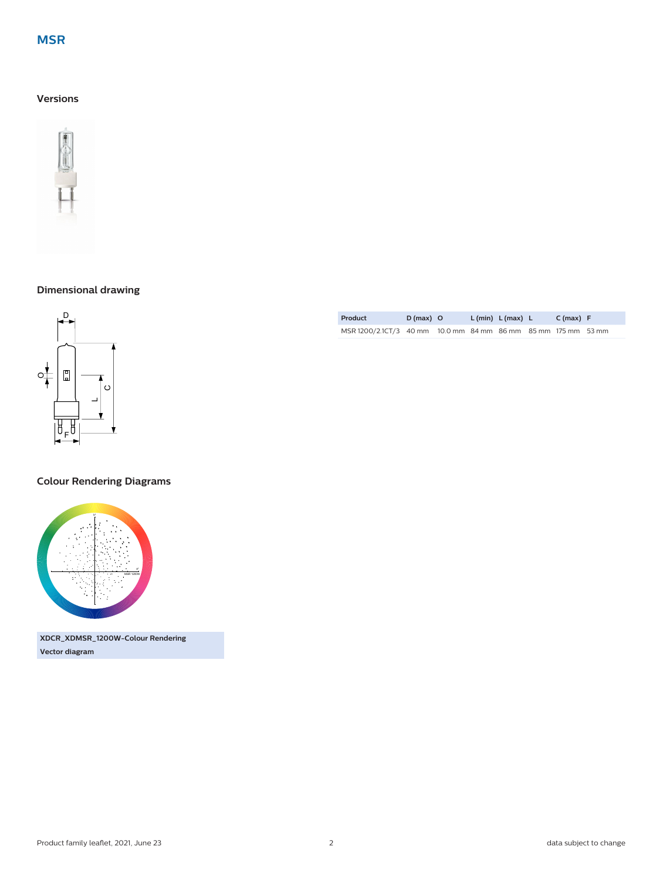# **MSR**

## **Versions**



# **Dimensional drawing**



### **Colour Rendering Diagrams**



**Vector diagram**

| <b>Product</b>                                                | $D(max)$ O |  | L (min) L (max) L | C(max) F |  |
|---------------------------------------------------------------|------------|--|-------------------|----------|--|
| MSR 1200/2.1CT/3 40 mm 10.0 mm 84 mm 86 mm 85 mm 175 mm 53 mm |            |  |                   |          |  |